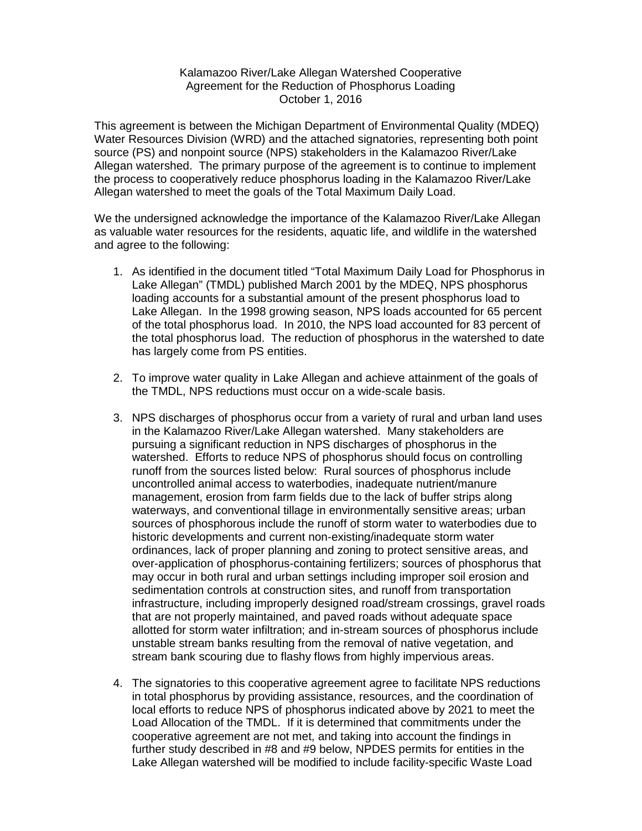## Kalamazoo River/Lake Allegan Watershed Cooperative Agreement for the Reduction of Phosphorus Loading October 1, 2016

 This agreement is between the Michigan Department of Environmental Quality (MDEQ) Water Resources Division (WRD) and the attached signatories, representing both point source (PS) and nonpoint source (NPS) stakeholders in the Kalamazoo River/Lake Allegan watershed. The primary purpose of the agreement is to continue to implement the process to cooperatively reduce phosphorus loading in the Kalamazoo River/Lake Allegan watershed to meet the goals of the Total Maximum Daily Load.

 We the undersigned acknowledge the importance of the Kalamazoo River/Lake Allegan as valuable water resources for the residents, aquatic life, and wildlife in the watershed and agree to the following:

- 1. As identified in the document titled "Total Maximum Daily Load for Phosphorus in Lake Allegan" (TMDL) published March 2001 by the MDEQ, NPS phosphorus loading accounts for a substantial amount of the present phosphorus load to Lake Allegan. In the 1998 growing season, NPS loads accounted for 65 percent of the total phosphorus load. In 2010, the NPS load accounted for 83 percent of the total phosphorus load. The reduction of phosphorus in the watershed to date has largely come from PS entities.
- 2. To improve water quality in Lake Allegan and achieve attainment of the goals of the TMDL, NPS reductions must occur on a wide-scale basis.
- 3. NPS discharges of phosphorus occur from a variety of rural and urban land uses in the Kalamazoo River/Lake Allegan watershed. Many stakeholders are pursuing a significant reduction in NPS discharges of phosphorus in the watershed. Efforts to reduce NPS of phosphorus should focus on controlling runoff from the sources listed below: Rural sources of phosphorus include uncontrolled animal access to waterbodies, inadequate nutrient/manure management, erosion from farm fields due to the lack of buffer strips along waterways, and conventional tillage in environmentally sensitive areas; urban sources of phosphorous include the runoff of storm water to waterbodies due to historic developments and current non-existing/inadequate storm water ordinances, lack of proper planning and zoning to protect sensitive areas, and over-application of phosphorus-containing fertilizers; sources of phosphorus that may occur in both rural and urban settings including improper soil erosion and sedimentation controls at construction sites, and runoff from transportation infrastructure, including improperly designed road/stream crossings, gravel roads that are not properly maintained, and paved roads without adequate space allotted for storm water infiltration; and in-stream sources of phosphorus include unstable stream banks resulting from the removal of native vegetation, and stream bank scouring due to flashy flows from highly impervious areas.
- 4. The signatories to this cooperative agreement agree to facilitate NPS reductions in total phosphorus by providing assistance, resources, and the coordination of local efforts to reduce NPS of phosphorus indicated above by 2021 to meet the Load Allocation of the TMDL. If it is determined that commitments under the cooperative agreement are not met, and taking into account the findings in further study described in #8 and #9 below, NPDES permits for entities in the Lake Allegan watershed will be modified to include facility-specific Waste Load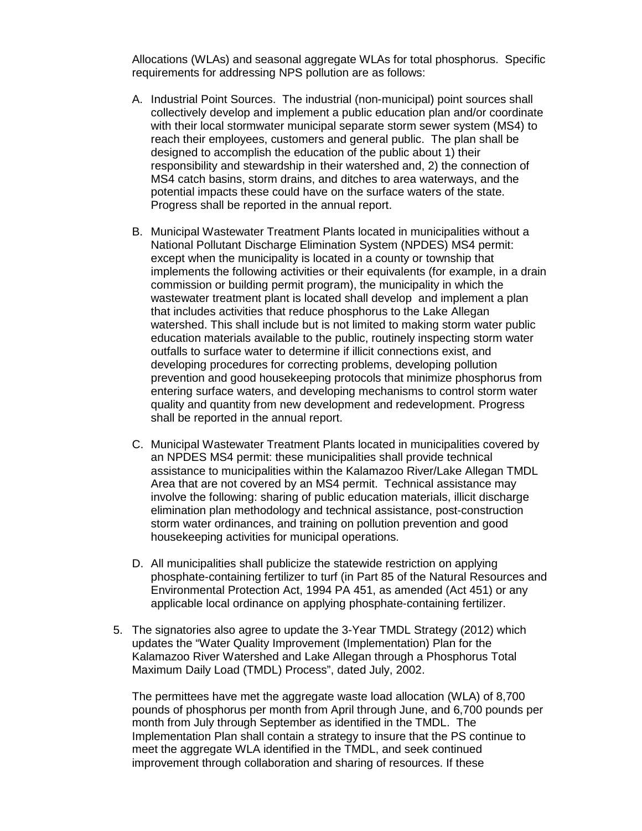Allocations (WLAs) and seasonal aggregate WLAs for total phosphorus. Specific requirements for addressing NPS pollution are as follows:

- A. Industrial Point Sources. The industrial (non-municipal) point sources shall collectively develop and implement a public education plan and/or coordinate with their local stormwater municipal separate storm sewer system (MS4) to reach their employees, customers and general public. The plan shall be designed to accomplish the education of the public about 1) their responsibility and stewardship in their watershed and, 2) the connection of MS4 catch basins, storm drains, and ditches to area waterways, and the potential impacts these could have on the surface waters of the state. Progress shall be reported in the annual report.
- B. Municipal Wastewater Treatment Plants located in municipalities without a National Pollutant Discharge Elimination System (NPDES) MS4 permit: except when the municipality is located in a county or township that implements the following activities or their equivalents (for example, in a drain commission or building permit program), the municipality in which the wastewater treatment plant is located shall develop and implement a plan that includes activities that reduce phosphorus to the Lake Allegan watershed. This shall include but is not limited to making storm water public education materials available to the public, routinely inspecting storm water outfalls to surface water to determine if illicit connections exist, and developing procedures for correcting problems, developing pollution prevention and good housekeeping protocols that minimize phosphorus from entering surface waters, and developing mechanisms to control storm water quality and quantity from new development and redevelopment. Progress shall be reported in the annual report.
- C. Municipal Wastewater Treatment Plants located in municipalities covered by an NPDES MS4 permit: these municipalities shall provide technical assistance to municipalities within the Kalamazoo River/Lake Allegan TMDL Area that are not covered by an MS4 permit. Technical assistance may involve the following: sharing of public education materials, illicit discharge elimination plan methodology and technical assistance, post-construction storm water ordinances, and training on pollution prevention and good housekeeping activities for municipal operations.
- D. All municipalities shall publicize the statewide restriction on applying phosphate-containing fertilizer to turf (in Part 85 of the Natural Resources and Environmental Protection Act, 1994 PA 451, as amended (Act 451) or any applicable local ordinance on applying phosphate-containing fertilizer.
- 5. The signatories also agree to update the 3-Year TMDL Strategy (2012) which updates the "Water Quality Improvement (Implementation) Plan for the Kalamazoo River Watershed and Lake Allegan through a Phosphorus Total Maximum Daily Load (TMDL) Process", dated July, 2002.

 The permittees have met the aggregate waste load allocation (WLA) of 8,700 pounds of phosphorus per month from April through June, and 6,700 pounds per month from July through September as identified in the TMDL. The Implementation Plan shall contain a strategy to insure that the PS continue to meet the aggregate WLA identified in the TMDL, and seek continued improvement through collaboration and sharing of resources. If these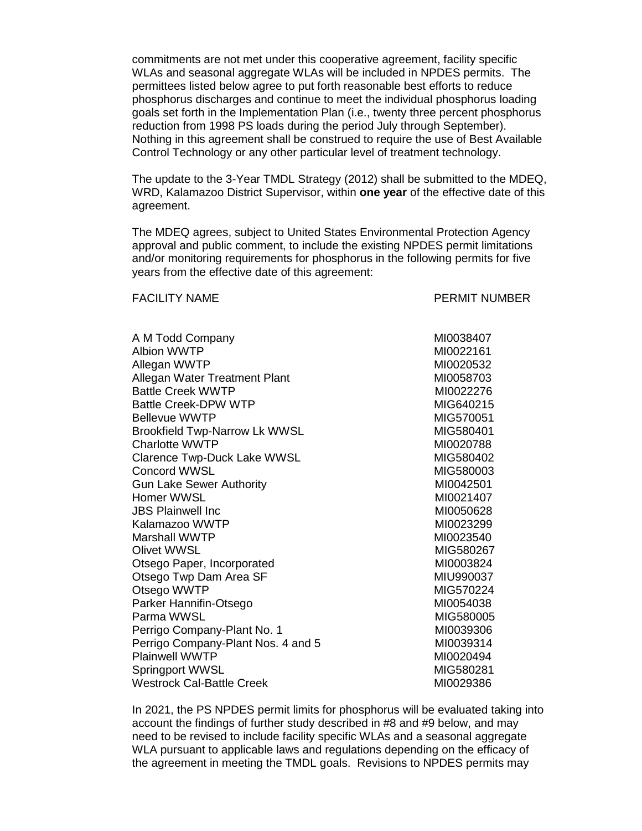commitments are not met under this cooperative agreement, facility specific WLAs and seasonal aggregate WLAs will be included in NPDES permits. The permittees listed below agree to put forth reasonable best efforts to reduce phosphorus discharges and continue to meet the individual phosphorus loading goals set forth in the Implementation Plan (i.e., twenty three percent phosphorus reduction from 1998 PS loads during the period July through September). Nothing in this agreement shall be construed to require the use of Best Available Control Technology or any other particular level of treatment technology.

 The update to the 3-Year TMDL Strategy (2012) shall be submitted to the MDEQ, WRD, Kalamazoo District Supervisor, within **one year** of the effective date of this agreement. agreement.<br>The MDEQ agrees, subject to United States Environmental Protection Agency

 approval and public comment, to include the existing NPDES permit limitations and/or monitoring requirements for phosphorus in the following permits for five years from the effective date of this agreement:

## **FACILITY NAME**

PERMIT NUMBER

| A M Todd Company                                          |
|-----------------------------------------------------------|
| <b>Albion WWTP</b>                                        |
| Allegan WWTP                                              |
| Allegan Water Treatment Plant<br><b>Battle Creek WWTP</b> |
| <b>Battle Creek-DPW WTP</b>                               |
| <b>Bellevue WWTP</b>                                      |
| <b>Brookfield Twp-Narrow Lk WWSL</b>                      |
| <b>Charlotte WWTP</b>                                     |
| <b>Clarence Twp-Duck Lake WWSL</b>                        |
| Concord WWSL                                              |
| <b>Gun Lake Sewer Authority</b>                           |
| Homer WWSL                                                |
| <b>JBS Plainwell Inc</b>                                  |
| Kalamazoo WWTP                                            |
| Marshall WWTP                                             |
| Olivet WWSL                                               |
| Otsego Paper, Incorporated                                |
| Otsego Twp Dam Area SF                                    |
| Otsego WWTP                                               |
| Parker Hannifin-Otsego                                    |
| Parma WWSL                                                |
| Perrigo Company-Plant No. 1                               |
| Perrigo Company-Plant Nos. 4 and 5                        |
| <b>Plainwell WWTP</b>                                     |
| Springport WWSL<br>Westrock Cal-Battle Creek              |
|                                                           |

MI0038407 MI0022161 MI0020532 MI0058703 MI0022276 **MIG640215 MIG570051**  $MIG580401$ MI0020788 MIG580402 MIG580003 MI0042501 MI0021407 MI0050628 MI0023299 MI0023540 MIG580267 MI0003824 MIU990037 MIG570224 MI0054038 MIG580005 MI0039306 Perrigo Company-Plant Nos. 4 and 5 MI0039314 MI0020494 MIG580281 MI0029386

 In 2021, the PS NPDES permit limits for phosphorus will be evaluated taking into account the findings of further study described in #8 and #9 below, and may need to be revised to include facility specific WLAs and a seasonal aggregate WLA pursuant to applicable laws and regulations depending on the efficacy of the agreement in meeting the TMDL goals. Revisions to NPDES permits may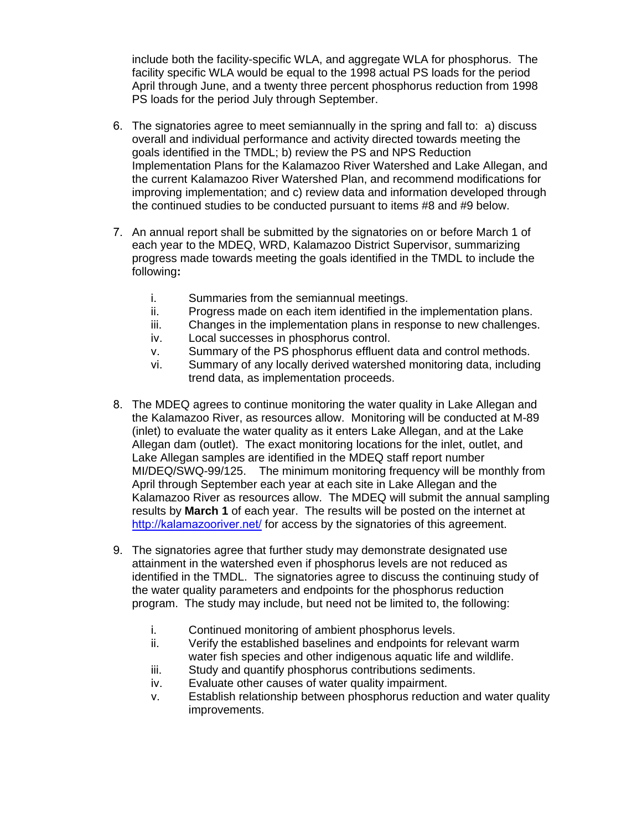include both the facility-specific WLA, and aggregate WLA for phosphorus. The facility specific WLA would be equal to the 1998 actual PS loads for the period April through June, and a twenty three percent phosphorus reduction from 1998 PS loads for the period July through September.

- 6. The signatories agree to meet semiannually in the spring and fall to: a) discuss overall and individual performance and activity directed towards meeting the goals identified in the TMDL; b) review the PS and NPS Reduction Implementation Plans for the Kalamazoo River Watershed and Lake Allegan, and the current Kalamazoo River Watershed Plan, and recommend modifications for improving implementation; and c) review data and information developed through the continued studies to be conducted pursuant to items #8 and #9 below.
- 7. An annual report shall be submitted by the signatories on or before March 1 of each year to the MDEQ, WRD, Kalamazoo District Supervisor, summarizing progress made towards meeting the goals identified in the TMDL to include the  following**:**
	- i. Summaries from the semiannual meetings.
	- ii. Progress made on each item identified in the implementation plans.
	- iii. Changes in the implementation plans in response to new challenges.
	- iv. Local successes in phosphorus control.
	- v. Summary of the PS phosphorus effluent data and control methods.
	- vi. Summary of any locally derived watershed monitoring data, including trend data, as implementation proceeds.
- 8. The MDEQ agrees to continue monitoring the water quality in Lake Allegan and the Kalamazoo River, as resources allow. Monitoring will be conducted at M-89 (inlet) to evaluate the water quality as it enters Lake Allegan, and at the Lake Allegan dam (outlet). The exact monitoring locations for the inlet, outlet, and Lake Allegan samples are identified in the MDEQ staff report number MI/DEQ/SWQ-99/125. The minimum monitoring frequency will be monthly from April through September each year at each site in Lake Allegan and the Kalamazoo River as resources allow. The MDEQ will submit the annual sampling results by **March 1** of each year. The results will be posted on the internet at http://kalamazooriver.net/ for access by the signatories of this agreement.
- identified in the TMDL. The signatories agree to discuss the continuing study of the water quality parameters and endpoints for the phosphorus reduction program. The study may include, but need not be limited to, the following: 9. The signatories agree that further study may demonstrate designated use attainment in the watershed even if phosphorus levels are not reduced as
	- i. Continued monitoring of ambient phosphorus levels.
	- ii. Verify the established baselines and endpoints for relevant warm water fish species and other indigenous aquatic life and wildlife.
	- iii. Study and quantify phosphorus contributions sediments.
	- iv. Evaluate other causes of water quality impairment.
	- v. Establish relationship between phosphorus reduction and water quality improvements.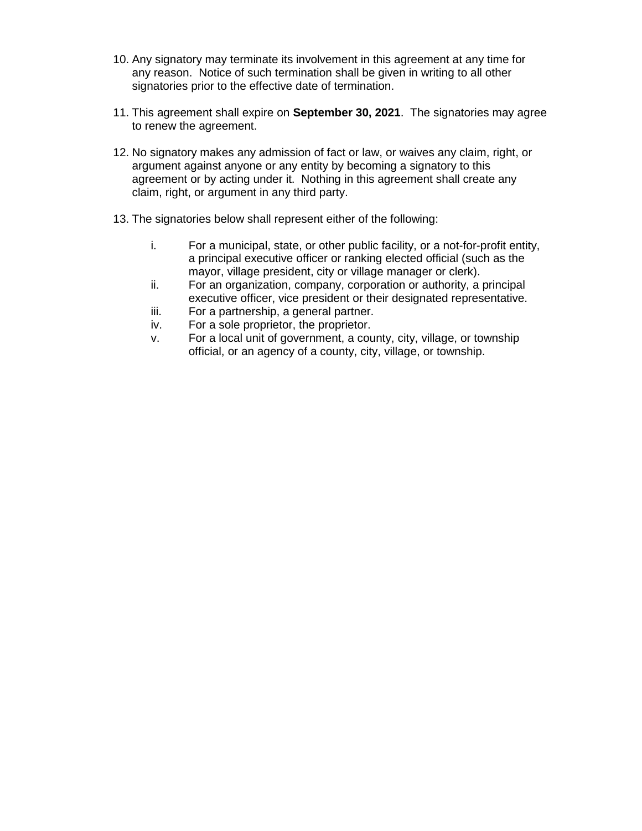- 10. Any signatory may terminate its involvement in this agreement at any time for any reason. Notice of such termination shall be given in writing to all other signatories prior to the effective date of termination.
- 11. This agreement shall expire on **September 30, 2021**. The signatories may agree to renew the agreement.
- 12. No signatory makes any admission of fact or law, or waives any claim, right, or argument against anyone or any entity by becoming a signatory to this agreement or by acting under it. Nothing in this agreement shall create any claim, right, or argument in any third party.
- 13. The signatories below shall represent either of the following:
	- i. a principal executive officer or ranking elected official (such as the mayor, village president, city or village manager or clerk). For a municipal, state, or other public facility, or a not-for-profit entity,
	- ii. executive officer, vice president or their designated representative. For an organization, company, corporation or authority, a principal
	- iii. For a partnership, a general partner.
	- iv. For a sole proprietor, the proprietor.
	- V. official, or an agency of a county, city, village, or township. For a local unit of government, a county, city, village, or township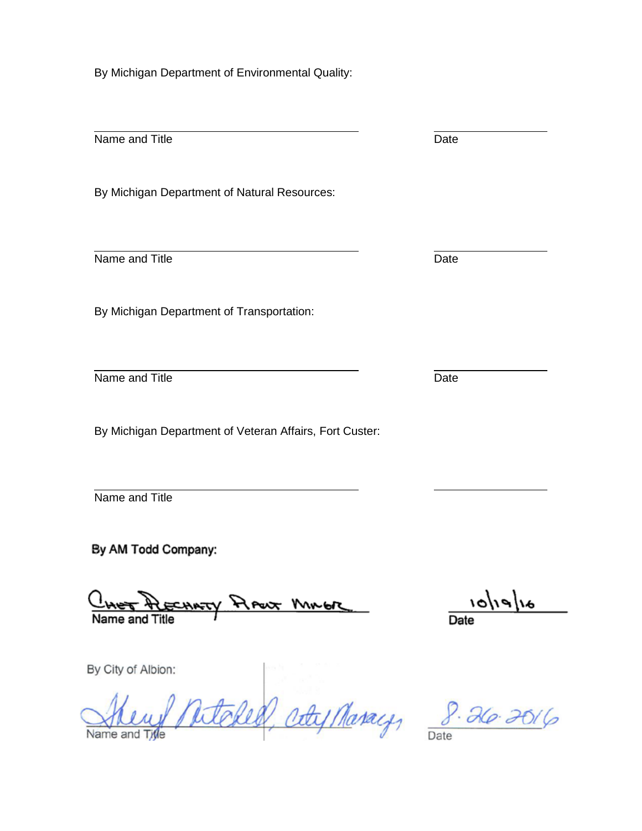By Michigan Department of Environmental Quality:

 $\overline{a}$  Name and Title By Michigan Department of Natural Resources:  $\overline{a}$  Name and Title By Michigan Department of Transportation:  $\overline{a}$  Name and Title By Michigan Department of Veteran Affairs, Fort Custer:  $\overline{a}$  Name and Title Date Date Date

By AM Todd Company:

 $\overline{\phantom{a}}$ PARTY PLANT MINUTE

 $a/|e/|o|$ 

By City of Albion:

ś  $\frac{1}{2}$ Natoles, aty Maray, 8.26.2016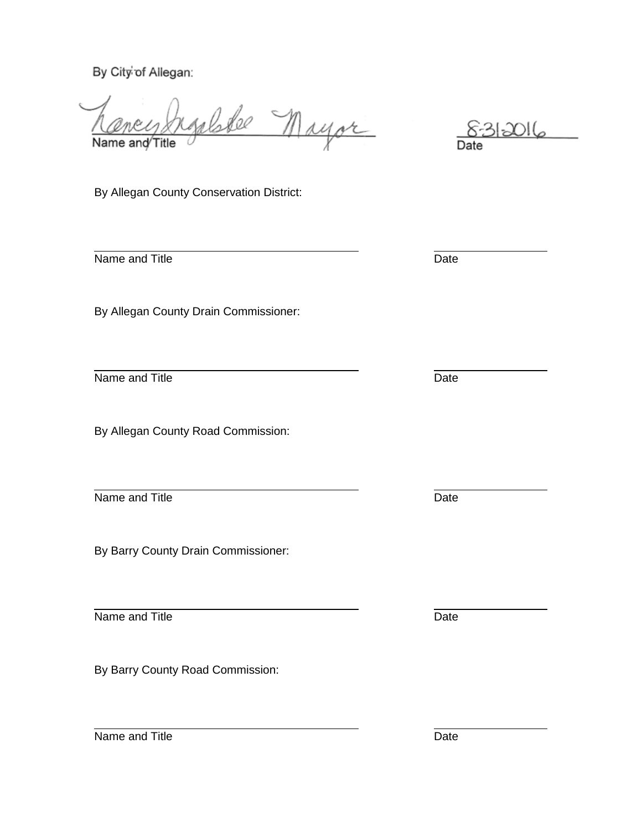By City of Allegan:

yelske nayor l Name and Title Ī

8312016 Date

By Allegan County Conservation District:

Name and Title

 $\overline{a}$ 

 $\overline{a}$ 

By Allegan County Drain Commissioner:

Name and Title

By Allegan County Road Commission:

 $\overline{a}$ Name and Title

By Barry County Drain Commissioner:

 $\overline{a}$ Name and Title

By Barry County Road Commission:

**Date** 

Date

**Date** 

Date

Name and Title **Date** Date **Date** 

 $\overline{a}$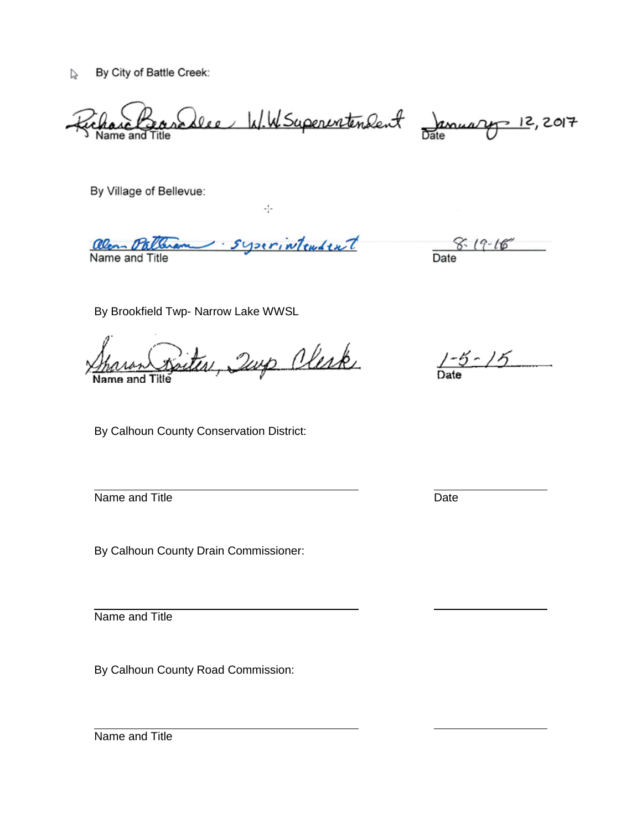V, By City of Battle Creek:

Ļ Name and Title <u>Selee W.W.Superintendent January 12,</u>2017

By Village of Bellevue:

- syserintendent Olen P Name and Title

 $-\frac{1}{2}$  .

 $8.19 - 16$ Date

By Brookfield Twp- Narrow Lake WWSL

Ĺ į Name and Title

By Calhoun County Conservation District:

 $\overline{a}$ Name and Title

By Calhoun County Drain Commissioner:

 $\overline{a}$ Name and Title

By Calhoun County Road Commission:

 $1 - 5 - 15$ 

**Date** 

Name and Title

 $\overline{a}$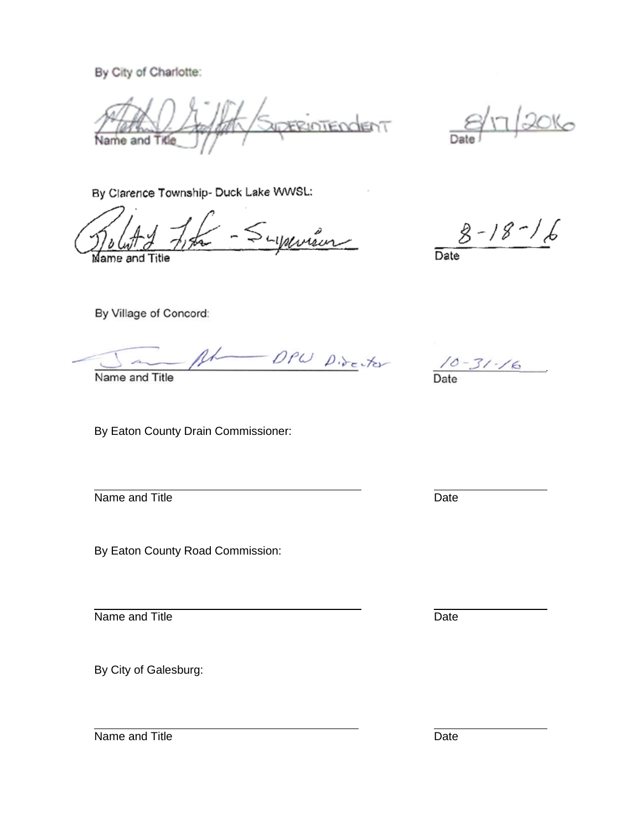By City of Charlotte:

ERIDTENCENT  $\overline{a}$ Name and Title

 $20K<sub>o</sub>$ Da

By Clarence Township- Duck Lake WWSL:

Supervison  $\overline{\phantom{a}}$ Name and Title ć

 $8 - 18 - 16$ 

Date

By Village of Concord:

- DPW Director l

Name and Title

By Eaton County Drain Commissioner:

 $\overline{a}$ Name and Title

By Eaton County Road Commission:

 $\overline{a}$ Name and Title

By City of Galesburg:

 $\frac{10 - 31 - 16}{\text{Date}}$ 

**Date** 

Date

 $\overline{a}$ Name and Title **Date** Date **Date**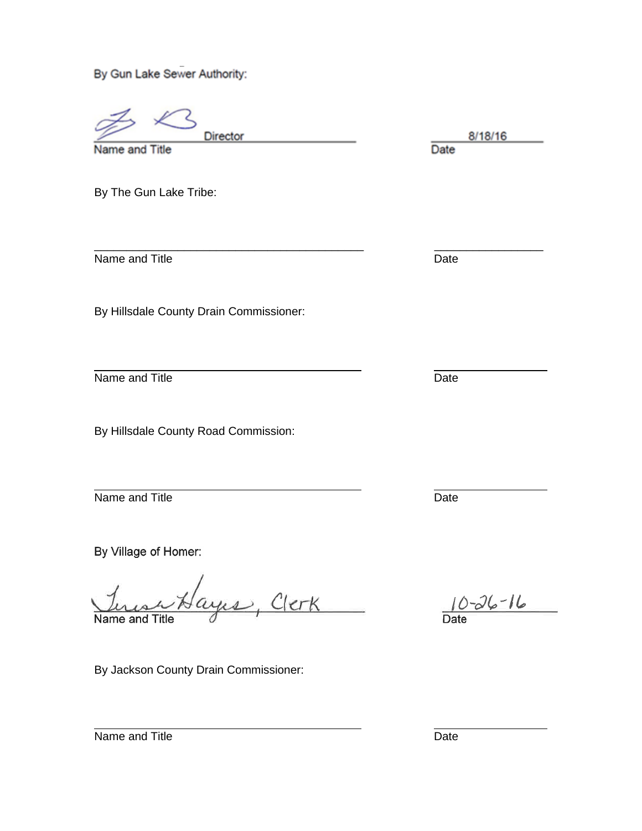By Gun Lake Sewer Authority:

ć Name and Director Director and Title Director and Title Director and Title Director and Title Director and Title Director and Title Director and Title Director and Title Director and Title Director and Title Director and T

Name and Title

By The Gun Lake Tribe:

Name and Title **Date** Date **Date** 

By Hillsdale County Drain Commissioner:

 $\overline{a}$ Name and Title

By Hillsdale County Road Commission:

 $\overline{a}$ Name and Title

By Village of Homer:

<u> Sayıs, Clerk</u> í, Name and Title

By Jackson County Drain Commissioner:

8/18/16

\_\_\_\_\_\_\_\_\_\_\_\_\_\_\_\_\_\_\_\_\_\_\_\_\_\_\_\_\_\_\_\_\_\_\_\_\_\_\_\_\_\_ \_\_\_\_\_\_\_\_\_\_\_\_\_\_\_\_\_

**Date** 

**Date** 

 $3 - 26 - 16$ **Date** 

Name and Title **Date** Date **Date** 

 $\overline{a}$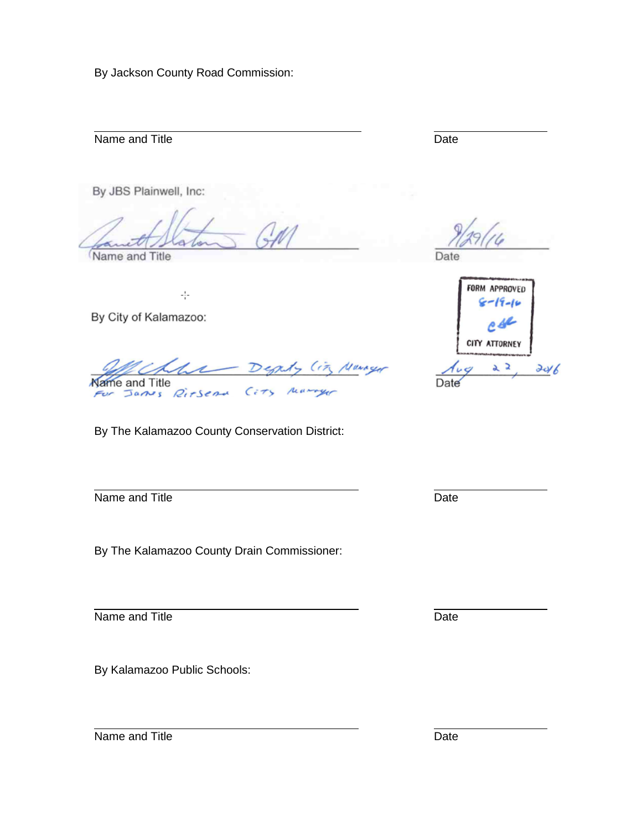By Jackson County Road Commission:

 $\overline{a}$ Name and Title

By JBS Plainwell, Inc:

5

Name and Title

 $\frac{1}{2}$ 

By City of Kalamazoo:

 $(17)$ Marcyr Name and Title rearryo James Riesena  $\epsilon$  7

By The Kalamazoo County Conservation District:

 $\overline{a}$ Name and Title

By The Kalamazoo County Drain Commissioner:

 $\overline{a}$ Name and Title

By Kalamazoo Public Schools:

Date

**Date** 



**Date** 

Date

 $\overline{a}$ Name and Title **Date** Date **Date**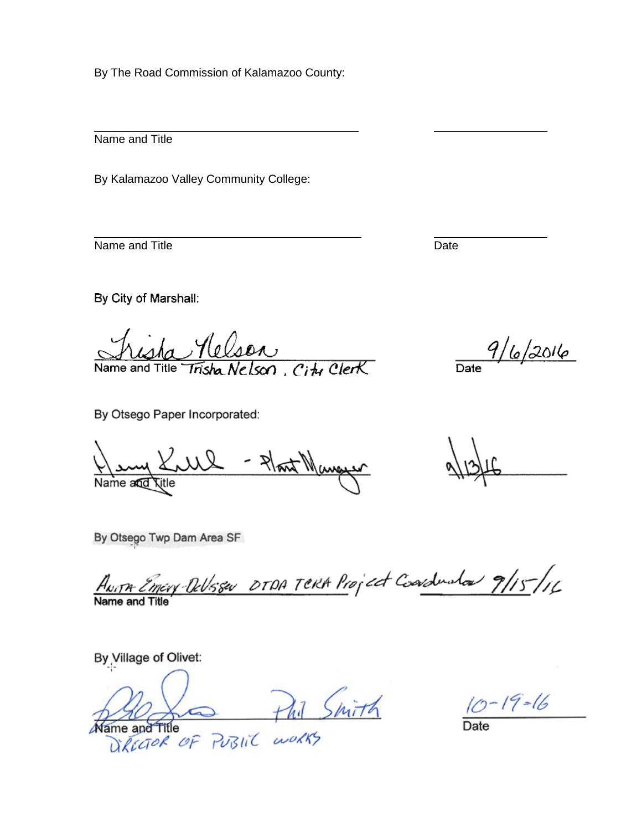By The Road Commission of Kalamazoo County:

Name and Title

 $\overline{a}$ 

 $\overline{a}$ 

By Kalamazoo Valley Community College:

Name and Title

By City of Marshall:

City Clerk Name and Title

 $9/6/2016$ Date<sup>1</sup>

By Otsego Paper Incorporated:

- Plant Manguer Name a**nd <sub>Ti</sub>tle** 

By Otsego Twp Dam Area SF

 $\overline{a}$ Name and Title

By Village of Olivet:

J  $M$ ame and  $T$ itle  $\overline{D}$ 

 $10 - 19 - 16$ 

Date

Date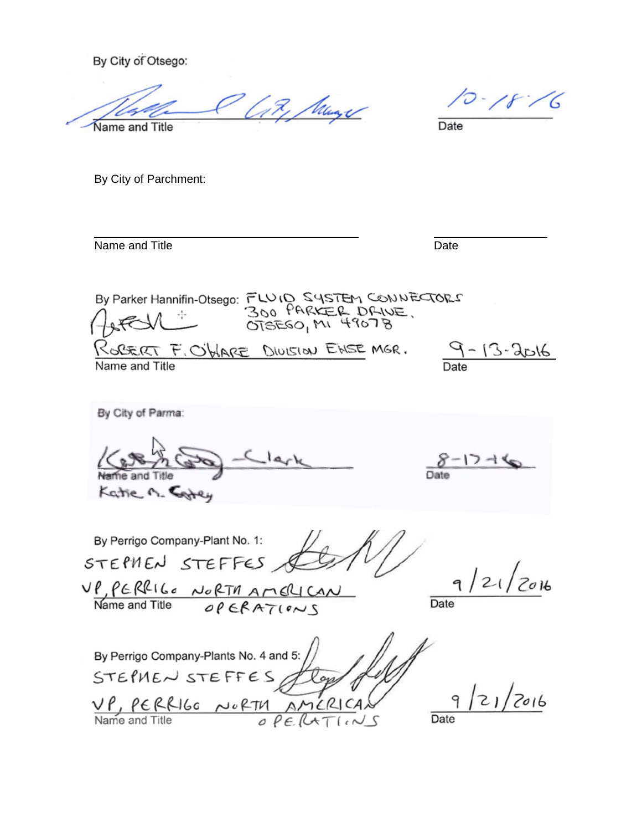By City of Otsego:

Like Muge  $\overline{\phantom{a}}$ Name and Title

 $10 - 18$ -6

Date

By City of Parchment:

Name and Title

 $\overline{a}$ 

Date

 By Parker Hannifin-Otsego: Ì Name and Title <u>9 - 13 - 2016</u>

 By City of Parma:  $8 - 17 - 14$  $V_1, V_2, A$  By Perrigo Company-Plant No. 1: STEPHEN STEFFES &  $21/2016$ ł **Date**  Name and Title By Perrigo Company-Plants No. 4 and 5: STEPHEN STEFFES Jloys  $9/21/2016$  $\overline{\phantom{a}}$ Name and Title  $OPE[CHT (1.10)]$  Date